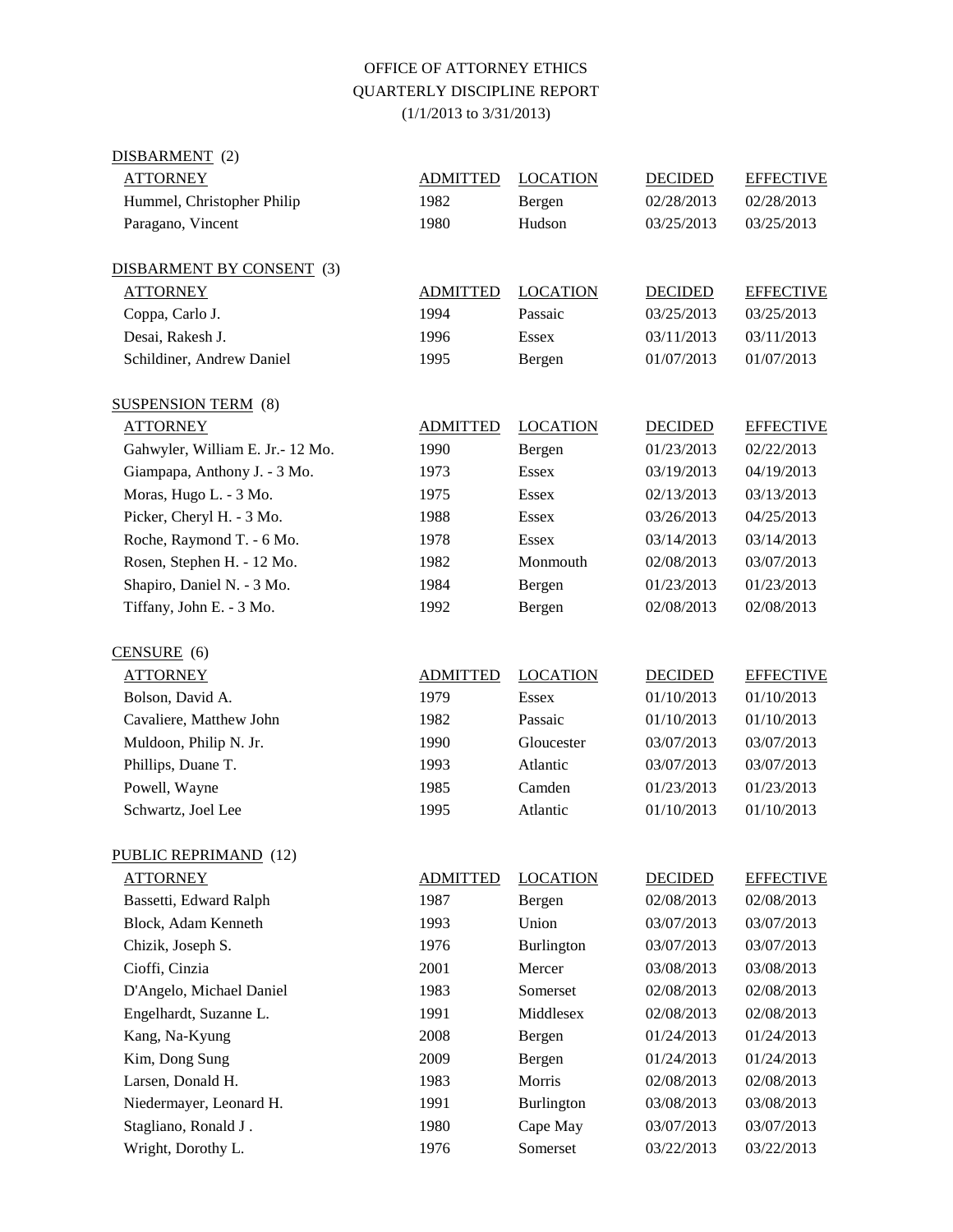## OFFICE OF ATTORNEY ETHICS QUARTERLY DISCIPLINE REPORT

(1/1/2013 to 3/31/2013)

| DISBARMENT <sub>(2)</sub>         |                 |                 |                |                  |
|-----------------------------------|-----------------|-----------------|----------------|------------------|
| <b>ATTORNEY</b>                   | <b>ADMITTED</b> | <b>LOCATION</b> | <b>DECIDED</b> | <b>EFFECTIVE</b> |
| Hummel, Christopher Philip        | 1982            | Bergen          | 02/28/2013     | 02/28/2013       |
| Paragano, Vincent                 | 1980            | Hudson          | 03/25/2013     | 03/25/2013       |
| DISBARMENT BY CONSENT (3)         |                 |                 |                |                  |
| <b>ATTORNEY</b>                   | <b>ADMITTED</b> | <b>LOCATION</b> | <b>DECIDED</b> | <b>EFFECTIVE</b> |
| Coppa, Carlo J.                   | 1994            | Passaic         | 03/25/2013     | 03/25/2013       |
| Desai, Rakesh J.                  | 1996            | Essex           | 03/11/2013     | 03/11/2013       |
| Schildiner, Andrew Daniel         | 1995            | Bergen          | 01/07/2013     | 01/07/2013       |
| <b>SUSPENSION TERM</b> (8)        |                 |                 |                |                  |
| <b>ATTORNEY</b>                   | <b>ADMITTED</b> | <b>LOCATION</b> | <b>DECIDED</b> | <b>EFFECTIVE</b> |
| Gahwyler, William E. Jr. - 12 Mo. | 1990            | Bergen          | 01/23/2013     | 02/22/2013       |
| Giampapa, Anthony J. - 3 Mo.      | 1973            | Essex           | 03/19/2013     | 04/19/2013       |
| Moras, Hugo L. - 3 Mo.            | 1975            | <b>Essex</b>    | 02/13/2013     | 03/13/2013       |
| Picker, Cheryl H. - 3 Mo.         | 1988            | <b>Essex</b>    | 03/26/2013     | 04/25/2013       |
| Roche, Raymond T. - 6 Mo.         | 1978            | Essex           | 03/14/2013     | 03/14/2013       |
| Rosen, Stephen H. - 12 Mo.        | 1982            | Monmouth        | 02/08/2013     | 03/07/2013       |
| Shapiro, Daniel N. - 3 Mo.        | 1984            | Bergen          | 01/23/2013     | 01/23/2013       |
| Tiffany, John E. - 3 Mo.          | 1992            | Bergen          | 02/08/2013     | 02/08/2013       |
| $CENSURE$ (6)                     |                 |                 |                |                  |
| <b>ATTORNEY</b>                   | <b>ADMITTED</b> | <b>LOCATION</b> | <b>DECIDED</b> | <b>EFFECTIVE</b> |
| Bolson, David A.                  | 1979            | Essex           | 01/10/2013     | 01/10/2013       |
| Cavaliere, Matthew John           | 1982            | Passaic         | 01/10/2013     | 01/10/2013       |
| Muldoon, Philip N. Jr.            | 1990            | Gloucester      | 03/07/2013     | 03/07/2013       |
| Phillips, Duane T.                | 1993            | Atlantic        | 03/07/2013     | 03/07/2013       |
| Powell, Wayne                     | 1985            | Camden          | 01/23/2013     | 01/23/2013       |
| Schwartz, Joel Lee                | 1995            | Atlantic        | 01/10/2013     | 01/10/2013       |
| PUBLIC REPRIMAND (12)             |                 |                 |                |                  |
| <b>ATTORNEY</b>                   | <b>ADMITTED</b> | <b>LOCATION</b> | <b>DECIDED</b> | <b>EFFECTIVE</b> |
| Bassetti, Edward Ralph            | 1987            | Bergen          | 02/08/2013     | 02/08/2013       |
| Block, Adam Kenneth               | 1993            | Union           | 03/07/2013     | 03/07/2013       |
| Chizik, Joseph S.                 | 1976            | Burlington      | 03/07/2013     | 03/07/2013       |
| Cioffi, Cinzia                    | 2001            | Mercer          | 03/08/2013     | 03/08/2013       |
| D'Angelo, Michael Daniel          | 1983            | Somerset        | 02/08/2013     | 02/08/2013       |
| Engelhardt, Suzanne L.            | 1991            | Middlesex       | 02/08/2013     | 02/08/2013       |
| Kang, Na-Kyung                    | 2008            | Bergen          | 01/24/2013     | 01/24/2013       |
| Kim, Dong Sung                    | 2009            | Bergen          | 01/24/2013     | 01/24/2013       |
| Larsen, Donald H.                 | 1983            | Morris          | 02/08/2013     | 02/08/2013       |
| Niedermayer, Leonard H.           | 1991            | Burlington      | 03/08/2013     | 03/08/2013       |
| Stagliano, Ronald J.              | 1980            | Cape May        | 03/07/2013     | 03/07/2013       |
| Wright, Dorothy L.                | 1976            | Somerset        | 03/22/2013     | 03/22/2013       |
|                                   |                 |                 |                |                  |